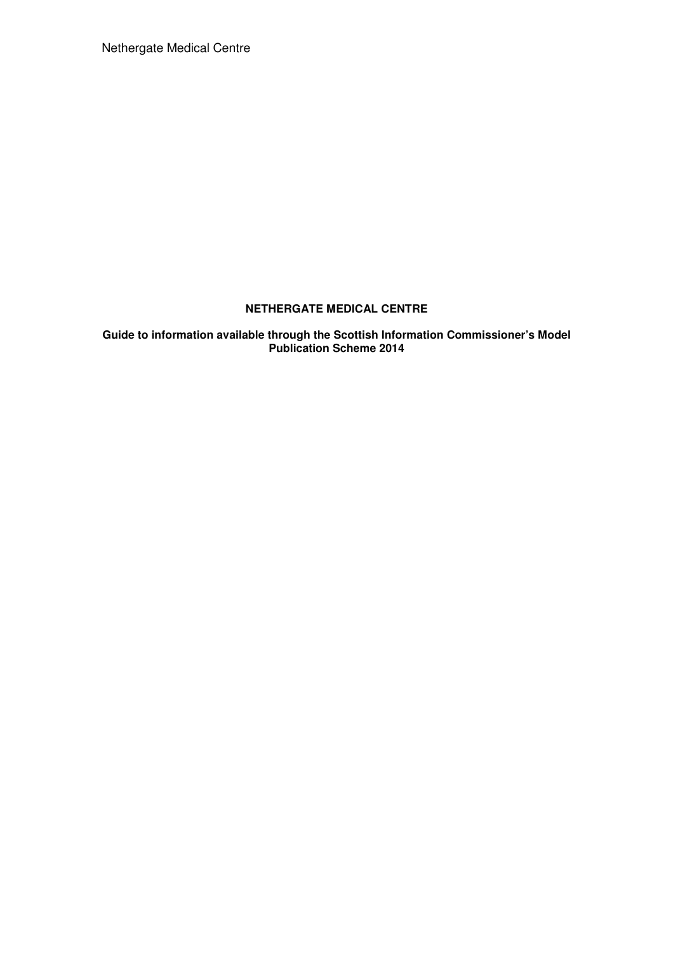Nethergate Medical Centre

# **NETHERGATE MEDICAL CENTRE**

**Guide to information available through the Scottish Information Commissioner's Model Publication Scheme 2014**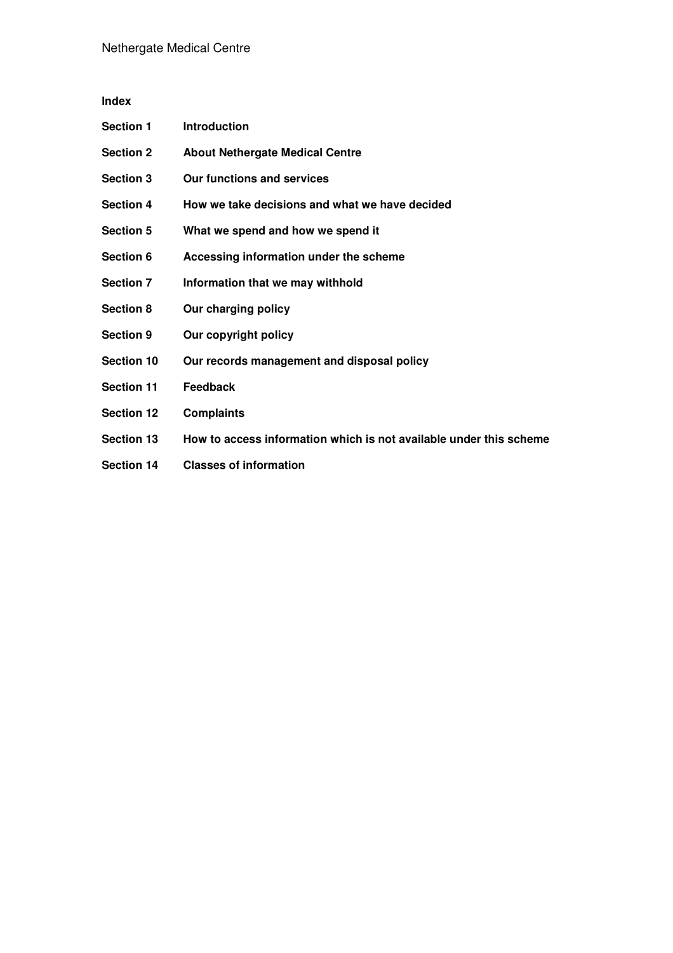# **Index**

| <b>Section 1</b>  | <b>Introduction</b>                                                |
|-------------------|--------------------------------------------------------------------|
| <b>Section 2</b>  | <b>About Nethergate Medical Centre</b>                             |
| <b>Section 3</b>  | <b>Our functions and services</b>                                  |
| <b>Section 4</b>  | How we take decisions and what we have decided                     |
| <b>Section 5</b>  | What we spend and how we spend it                                  |
| Section 6         | Accessing information under the scheme                             |
| <b>Section 7</b>  | Information that we may withhold                                   |
| <b>Section 8</b>  | Our charging policy                                                |
| <b>Section 9</b>  | Our copyright policy                                               |
| <b>Section 10</b> | Our records management and disposal policy                         |
| <b>Section 11</b> | <b>Feedback</b>                                                    |
| <b>Section 12</b> | <b>Complaints</b>                                                  |
| <b>Section 13</b> | How to access information which is not available under this scheme |
| <b>Section 14</b> | <b>Classes of information</b>                                      |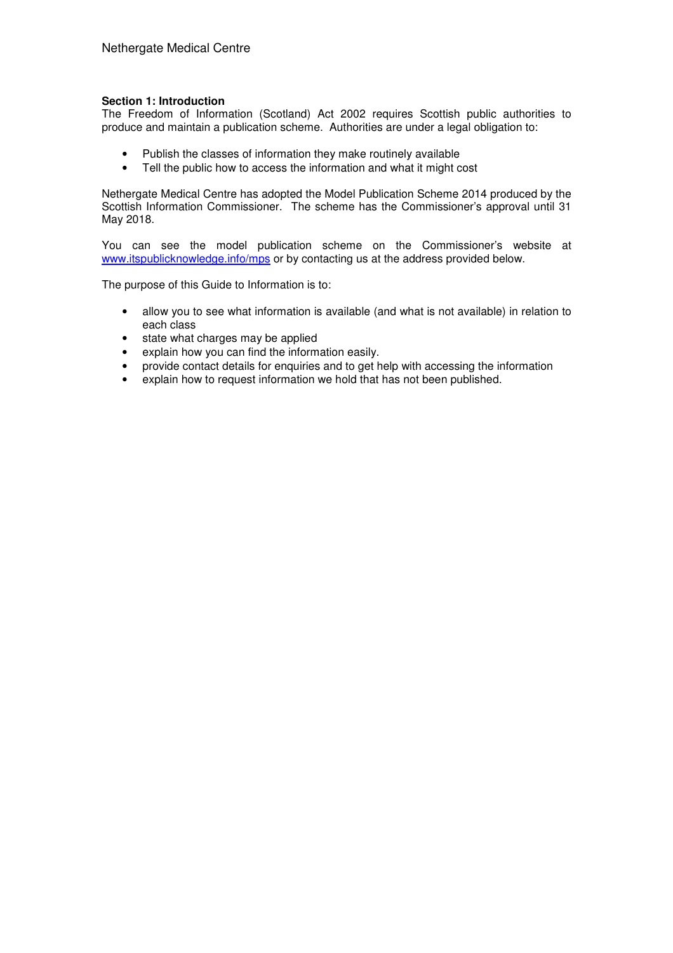# **Section 1: Introduction**

The Freedom of Information (Scotland) Act 2002 requires Scottish public authorities to produce and maintain a publication scheme. Authorities are under a legal obligation to:

- Publish the classes of information they make routinely available
- Tell the public how to access the information and what it might cost

Nethergate Medical Centre has adopted the Model Publication Scheme 2014 produced by the Scottish Information Commissioner. The scheme has the Commissioner's approval until 31 May 2018.

You can see the model publication scheme on the Commissioner's website at www.itspublicknowledge.info/mps or by contacting us at the address provided below.

The purpose of this Guide to Information is to:

- allow you to see what information is available (and what is not available) in relation to each class
- state what charges may be applied
- explain how you can find the information easily.
- provide contact details for enquiries and to get help with accessing the information
- explain how to request information we hold that has not been published.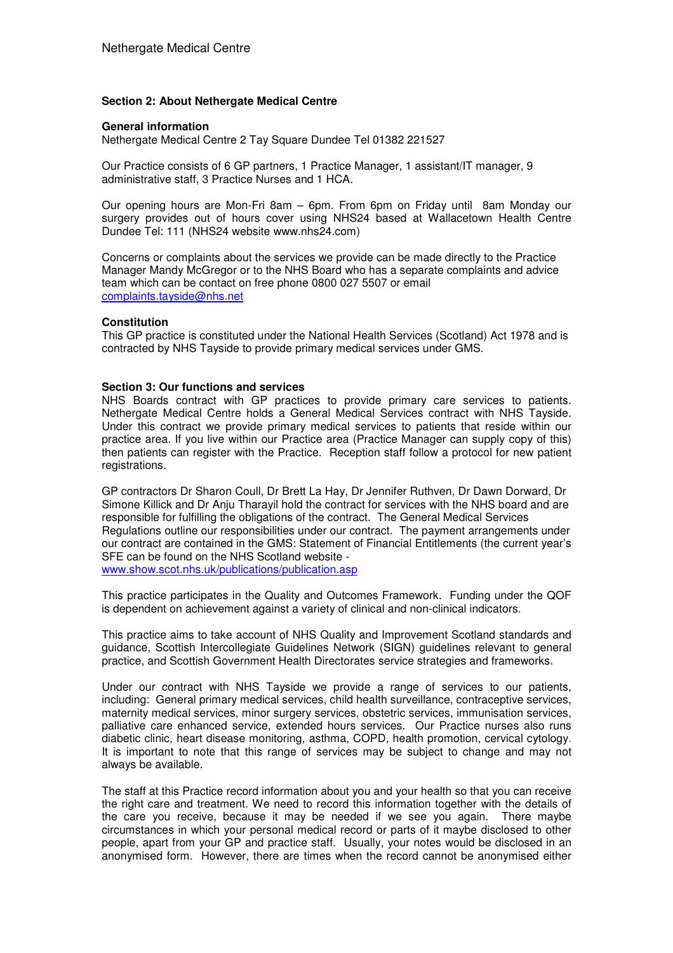#### **Section 2: About Nethergate Medical Centre**

#### **General information**

Nethergate Medical Centre 2 Tay Square Dundee Tel 01382 221527

Our Practice consists of 6 GP partners, 1 Practice Manager, 1 assistant/IT manager, 9 administrative staff, 3 Practice Nurses and 1 HCA.

Our opening hours are Mon-Fri 8am – 6pm. From 6pm on Friday until 8am Monday our surgery provides out of hours cover using NHS24 based at Wallacetown Health Centre Dundee Tel: 111 (NHS24 website www.nhs24.com)

Concerns or complaints about the services we provide can be made directly to the Practice Manager Mandy McGregor or to the NHS Board who has a separate complaints and advice team which can be contact on free phone 0800 027 5507 or email complaints.tayside@nhs.net

#### **Constitution**

This GP practice is constituted under the National Health Services (Scotland) Act 1978 and is contracted by NHS Tayside to provide primary medical services under GMS.

#### **Section 3: Our functions and services**

NHS Boards contract with GP practices to provide primary care services to patients. Nethergate Medical Centre holds a General Medical Services contract with NHS Tayside. Under this contract we provide primary medical services to patients that reside within our practice area. If you live within our Practice area (Practice Manager can supply copy of this) then patients can register with the Practice. Reception staff follow a protocol for new patient registrations.

GP contractors Dr Sharon Coull, Dr Brett La Hay, Dr Jennifer Ruthven, Dr Dawn Dorward, Dr Simone Killick and Dr Anju Tharayil hold the contract for services with the NHS board and are responsible for fulfilling the obligations of the contract. The General Medical Services Regulations outline our responsibilities under our contract. The payment arrangements under our contract are contained in the GMS: Statement of Financial Entitlements (the current year's SFE can be found on the NHS Scotland website www.show.scot.nhs.uk/publications/publication.asp

This practice participates in the Quality and Outcomes Framework. Funding under the QOF is dependent on achievement against a variety of clinical and non-clinical indicators.

This practice aims to take account of NHS Quality and Improvement Scotland standards and guidance, Scottish Intercollegiate Guidelines Network (SIGN) guidelines relevant to general practice, and Scottish Government Health Directorates service strategies and frameworks.

Under our contract with NHS Tayside we provide a range of services to our patients, including: General primary medical services, child health surveillance, contraceptive services, maternity medical services, minor surgery services, obstetric services, immunisation services, palliative care enhanced service, extended hours services. Our Practice nurses also runs diabetic clinic, heart disease monitoring, asthma, COPD, health promotion, cervical cytology. It is important to note that this range of services may be subject to change and may not always be available.

The staff at this Practice record information about you and your health so that you can receive the right care and treatment. We need to record this information together with the details of the care you receive, because it may be needed if we see you again. There maybe circumstances in which your personal medical record or parts of it maybe disclosed to other people, apart from your GP and practice staff. Usually, your notes would be disclosed in an anonymised form. However, there are times when the record cannot be anonymised either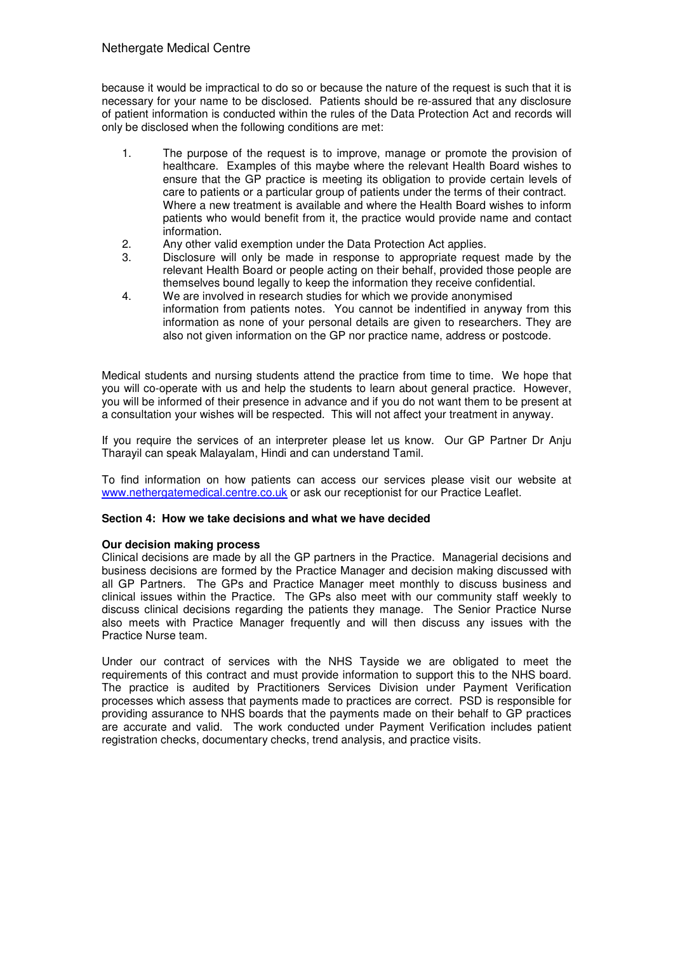because it would be impractical to do so or because the nature of the request is such that it is necessary for your name to be disclosed. Patients should be re-assured that any disclosure of patient information is conducted within the rules of the Data Protection Act and records will only be disclosed when the following conditions are met:

- 1. The purpose of the request is to improve, manage or promote the provision of healthcare. Examples of this maybe where the relevant Health Board wishes to ensure that the GP practice is meeting its obligation to provide certain levels of care to patients or a particular group of patients under the terms of their contract. Where a new treatment is available and where the Health Board wishes to inform patients who would benefit from it, the practice would provide name and contact information.
- 2. Any other valid exemption under the Data Protection Act applies.
- 3. Disclosure will only be made in response to appropriate request made by the relevant Health Board or people acting on their behalf, provided those people are themselves bound legally to keep the information they receive confidential.
- 4. We are involved in research studies for which we provide anonymised information from patients notes. You cannot be indentified in anyway from this information as none of your personal details are given to researchers. They are also not given information on the GP nor practice name, address or postcode.

Medical students and nursing students attend the practice from time to time. We hope that you will co-operate with us and help the students to learn about general practice. However, you will be informed of their presence in advance and if you do not want them to be present at a consultation your wishes will be respected. This will not affect your treatment in anyway.

If you require the services of an interpreter please let us know. Our GP Partner Dr Anju Tharayil can speak Malayalam, Hindi and can understand Tamil.

To find information on how patients can access our services please visit our website at www.nethergatemedical.centre.co.uk or ask our receptionist for our Practice Leaflet.

# **Section 4: How we take decisions and what we have decided**

#### **Our decision making process**

Clinical decisions are made by all the GP partners in the Practice. Managerial decisions and business decisions are formed by the Practice Manager and decision making discussed with all GP Partners. The GPs and Practice Manager meet monthly to discuss business and clinical issues within the Practice. The GPs also meet with our community staff weekly to discuss clinical decisions regarding the patients they manage. The Senior Practice Nurse also meets with Practice Manager frequently and will then discuss any issues with the Practice Nurse team.

Under our contract of services with the NHS Tayside we are obligated to meet the requirements of this contract and must provide information to support this to the NHS board. The practice is audited by Practitioners Services Division under Payment Verification processes which assess that payments made to practices are correct. PSD is responsible for providing assurance to NHS boards that the payments made on their behalf to GP practices are accurate and valid. The work conducted under Payment Verification includes patient registration checks, documentary checks, trend analysis, and practice visits.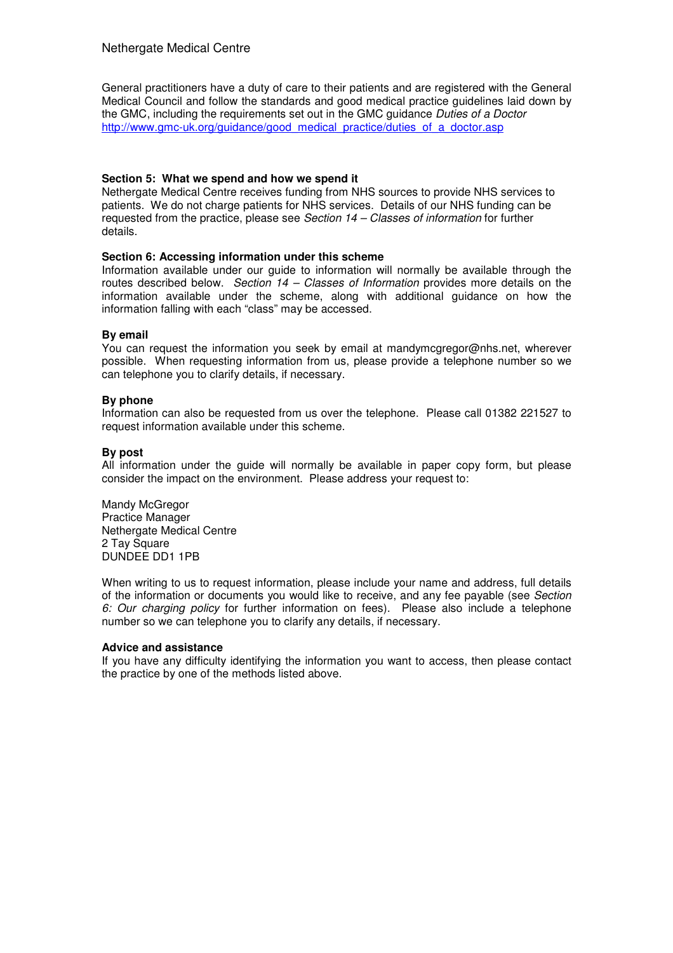General practitioners have a duty of care to their patients and are registered with the General Medical Council and follow the standards and good medical practice guidelines laid down by the GMC, including the requirements set out in the GMC quidance Duties of a Doctor http://www.gmc-uk.org/guidance/good\_medical\_practice/duties\_of\_a\_doctor.asp

# **Section 5: What we spend and how we spend it**

Nethergate Medical Centre receives funding from NHS sources to provide NHS services to patients. We do not charge patients for NHS services. Details of our NHS funding can be requested from the practice, please see Section 14 – Classes of information for further details.

# **Section 6: Accessing information under this scheme**

Information available under our guide to information will normally be available through the routes described below. Section  $14 - Classes$  of Information provides more details on the information available under the scheme, along with additional guidance on how the information falling with each "class" may be accessed.

# **By email**

You can request the information you seek by email at mandymcgregor@nhs.net, wherever possible. When requesting information from us, please provide a telephone number so we can telephone you to clarify details, if necessary.

# **By phone**

Information can also be requested from us over the telephone. Please call 01382 221527 to request information available under this scheme.

# **By post**

All information under the guide will normally be available in paper copy form, but please consider the impact on the environment. Please address your request to:

Mandy McGregor Practice Manager Nethergate Medical Centre 2 Tay Square DUNDEE DD1 1PB

When writing to us to request information, please include your name and address, full details of the information or documents you would like to receive, and any fee payable (see Section 6: Our charging policy for further information on fees). Please also include a telephone number so we can telephone you to clarify any details, if necessary.

#### **Advice and assistance**

If you have any difficulty identifying the information you want to access, then please contact the practice by one of the methods listed above.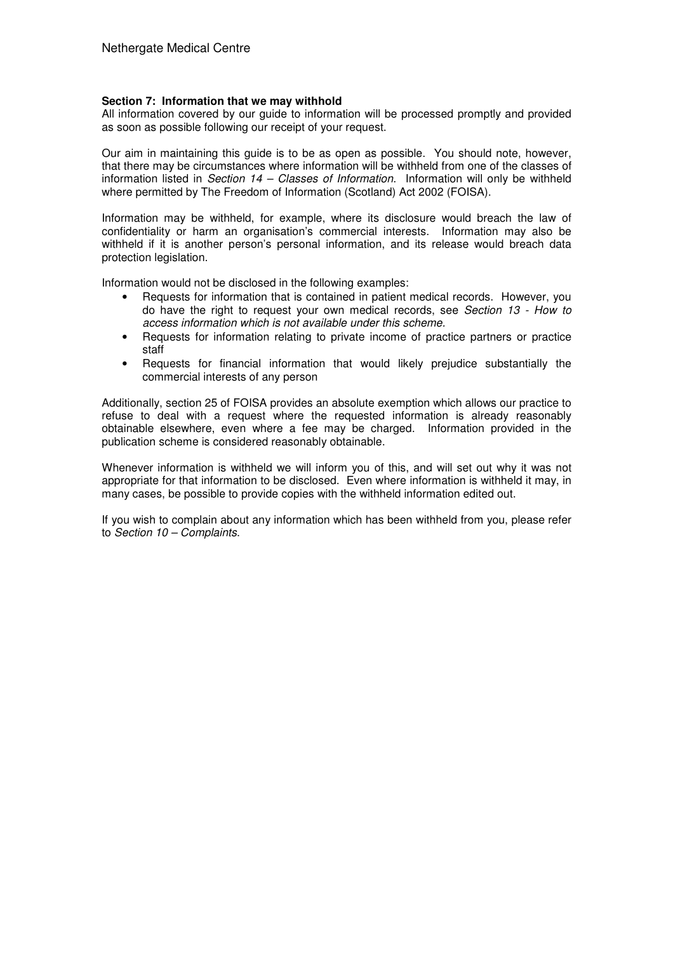# **Section 7: Information that we may withhold**

All information covered by our guide to information will be processed promptly and provided as soon as possible following our receipt of your request.

Our aim in maintaining this guide is to be as open as possible. You should note, however, that there may be circumstances where information will be withheld from one of the classes of information listed in Section  $14$  – Classes of Information. Information will only be withheld where permitted by The Freedom of Information (Scotland) Act 2002 (FOISA).

Information may be withheld, for example, where its disclosure would breach the law of confidentiality or harm an organisation's commercial interests. Information may also be withheld if it is another person's personal information, and its release would breach data protection legislation.

Information would not be disclosed in the following examples:

- Requests for information that is contained in patient medical records. However, you do have the right to request your own medical records, see Section 13 - How to access information which is not available under this scheme.
- Requests for information relating to private income of practice partners or practice staff
- Requests for financial information that would likely prejudice substantially the commercial interests of any person

Additionally, section 25 of FOISA provides an absolute exemption which allows our practice to refuse to deal with a request where the requested information is already reasonably obtainable elsewhere, even where a fee may be charged. Information provided in the publication scheme is considered reasonably obtainable.

Whenever information is withheld we will inform you of this, and will set out why it was not appropriate for that information to be disclosed. Even where information is withheld it may, in many cases, be possible to provide copies with the withheld information edited out.

If you wish to complain about any information which has been withheld from you, please refer to Section 10 – Complaints.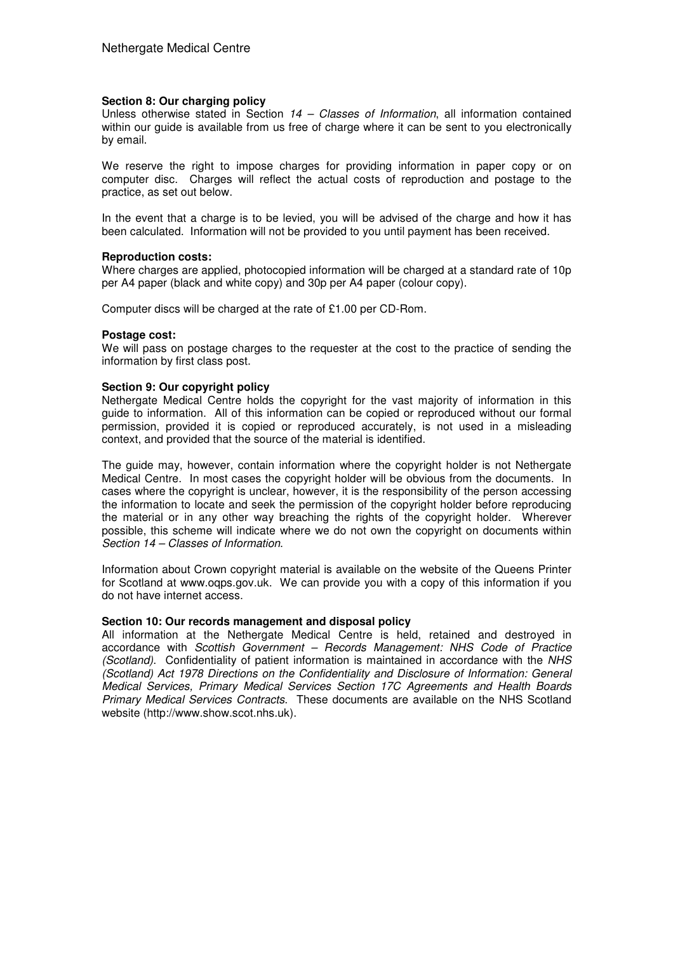#### **Section 8: Our charging policy**

Unless otherwise stated in Section  $14 - Classes$  of Information, all information contained within our guide is available from us free of charge where it can be sent to you electronically by email.

We reserve the right to impose charges for providing information in paper copy or on computer disc. Charges will reflect the actual costs of reproduction and postage to the practice, as set out below.

In the event that a charge is to be levied, you will be advised of the charge and how it has been calculated. Information will not be provided to you until payment has been received.

#### **Reproduction costs:**

Where charges are applied, photocopied information will be charged at a standard rate of 10p per A4 paper (black and white copy) and 30p per A4 paper (colour copy).

Computer discs will be charged at the rate of £1.00 per CD-Rom.

#### **Postage cost:**

We will pass on postage charges to the requester at the cost to the practice of sending the information by first class post.

#### **Section 9: Our copyright policy**

Nethergate Medical Centre holds the copyright for the vast majority of information in this guide to information. All of this information can be copied or reproduced without our formal permission, provided it is copied or reproduced accurately, is not used in a misleading context, and provided that the source of the material is identified.

The guide may, however, contain information where the copyright holder is not Nethergate Medical Centre. In most cases the copyright holder will be obvious from the documents. In cases where the copyright is unclear, however, it is the responsibility of the person accessing the information to locate and seek the permission of the copyright holder before reproducing the material or in any other way breaching the rights of the copyright holder. Wherever possible, this scheme will indicate where we do not own the copyright on documents within Section 14 – Classes of Information.

Information about Crown copyright material is available on the website of the Queens Printer for Scotland at www.oqps.gov.uk. We can provide you with a copy of this information if you do not have internet access.

#### **Section 10: Our records management and disposal policy**

All information at the Nethergate Medical Centre is held, retained and destroyed in accordance with Scottish Government – Records Management: NHS Code of Practice (Scotland). Confidentiality of patient information is maintained in accordance with the NHS (Scotland) Act 1978 Directions on the Confidentiality and Disclosure of Information: General Medical Services, Primary Medical Services Section 17C Agreements and Health Boards Primary Medical Services Contracts. These documents are available on the NHS Scotland website (http://www.show.scot.nhs.uk).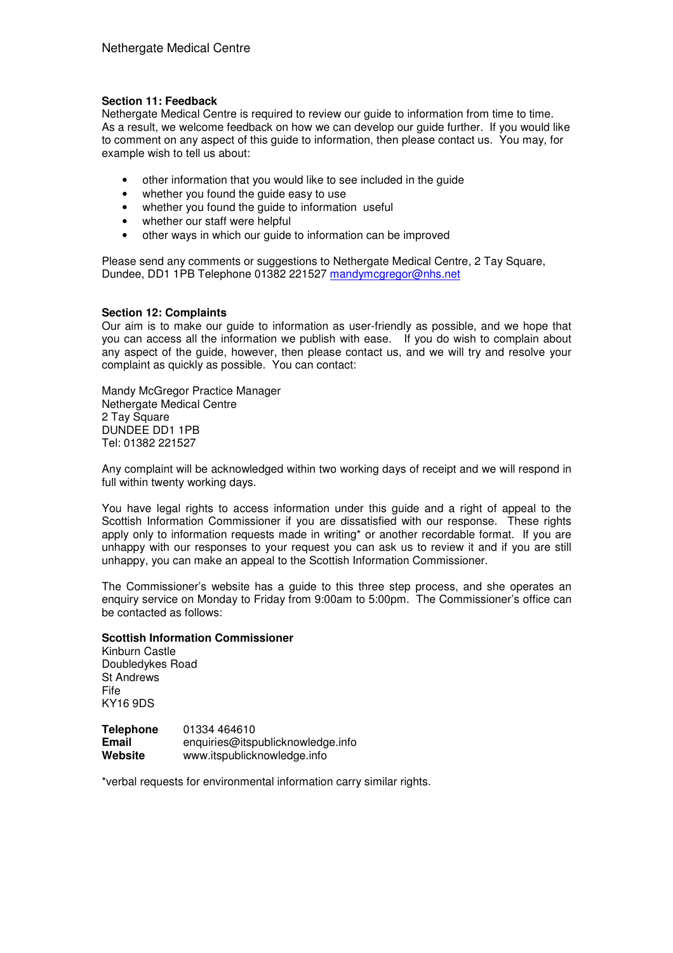# **Section 11: Feedback**

Nethergate Medical Centre is required to review our guide to information from time to time. As a result, we welcome feedback on how we can develop our guide further. If you would like to comment on any aspect of this guide to information, then please contact us. You may, for example wish to tell us about:

- other information that you would like to see included in the guide
- whether you found the quide easy to use
- whether you found the quide to information useful
- whether our staff were helpful
- other ways in which our guide to information can be improved

Please send any comments or suggestions to Nethergate Medical Centre, 2 Tay Square, Dundee, DD1 1PB Telephone 01382 221527 mandymcgregor@nhs.net

# **Section 12: Complaints**

Our aim is to make our guide to information as user-friendly as possible, and we hope that you can access all the information we publish with ease. If you do wish to complain about any aspect of the guide, however, then please contact us, and we will try and resolve your complaint as quickly as possible. You can contact:

Mandy McGregor Practice Manager Nethergate Medical Centre 2 Tay Square DUNDEE DD1 1PB Tel: 01382 221527

Any complaint will be acknowledged within two working days of receipt and we will respond in full within twenty working days.

You have legal rights to access information under this guide and a right of appeal to the Scottish Information Commissioner if you are dissatisfied with our response. These rights apply only to information requests made in writing\* or another recordable format. If you are unhappy with our responses to your request you can ask us to review it and if you are still unhappy, you can make an appeal to the Scottish Information Commissioner.

The Commissioner's website has a guide to this three step process, and she operates an enquiry service on Monday to Friday from 9:00am to 5:00pm. The Commissioner's office can be contacted as follows:

# **Scottish Information Commissioner**

Kinburn Castle Doubledykes Road St Andrews Fife KY16 9DS

**Telephone** 01334 464610 **Email** enquiries@itspublicknowledge.info **Website** www.itspublicknowledge.info

\*verbal requests for environmental information carry similar rights.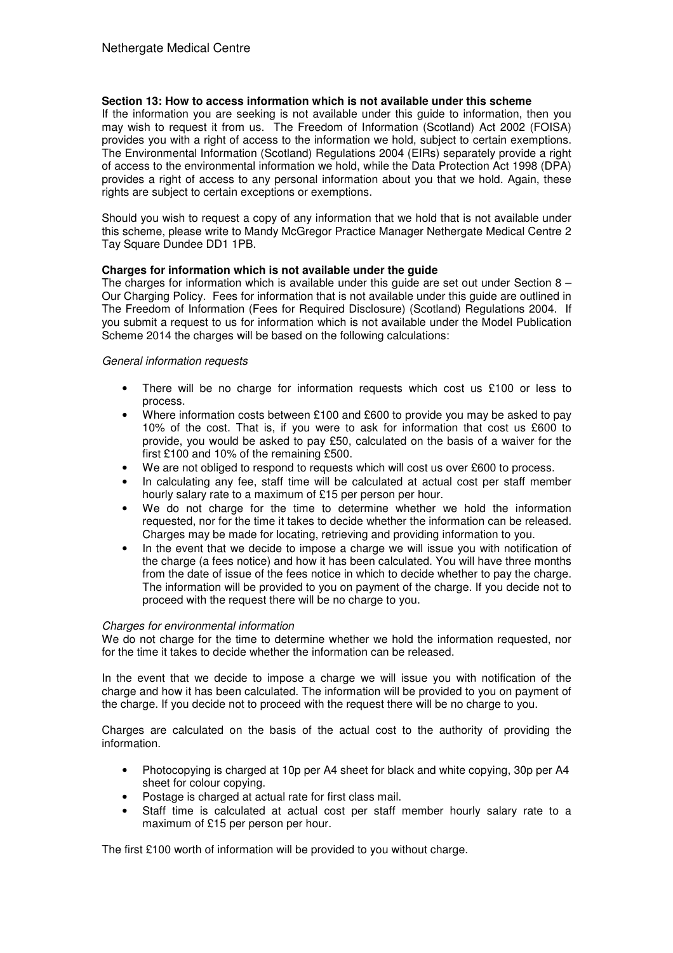# **Section 13: How to access information which is not available under this scheme**

If the information you are seeking is not available under this guide to information, then you may wish to request it from us. The Freedom of Information (Scotland) Act 2002 (FOISA) provides you with a right of access to the information we hold, subject to certain exemptions. The Environmental Information (Scotland) Regulations 2004 (EIRs) separately provide a right of access to the environmental information we hold, while the Data Protection Act 1998 (DPA) provides a right of access to any personal information about you that we hold. Again, these rights are subject to certain exceptions or exemptions.

Should you wish to request a copy of any information that we hold that is not available under this scheme, please write to Mandy McGregor Practice Manager Nethergate Medical Centre 2 Tay Square Dundee DD1 1PB.

# **Charges for information which is not available under the guide**

The charges for information which is available under this quide are set out under Section  $8 -$ Our Charging Policy. Fees for information that is not available under this guide are outlined in The Freedom of Information (Fees for Required Disclosure) (Scotland) Regulations 2004. If you submit a request to us for information which is not available under the Model Publication Scheme 2014 the charges will be based on the following calculations:

# General information requests

- There will be no charge for information requests which cost us  $£100$  or less to process.
- Where information costs between £100 and £600 to provide you may be asked to pay 10% of the cost. That is, if you were to ask for information that cost us £600 to provide, you would be asked to pay £50, calculated on the basis of a waiver for the first £100 and 10% of the remaining £500.
- We are not obliged to respond to requests which will cost us over £600 to process.
- In calculating any fee, staff time will be calculated at actual cost per staff member hourly salary rate to a maximum of £15 per person per hour.
- We do not charge for the time to determine whether we hold the information requested, nor for the time it takes to decide whether the information can be released. Charges may be made for locating, retrieving and providing information to you.
- In the event that we decide to impose a charge we will issue you with notification of the charge (a fees notice) and how it has been calculated. You will have three months from the date of issue of the fees notice in which to decide whether to pay the charge. The information will be provided to you on payment of the charge. If you decide not to proceed with the request there will be no charge to you.

# Charges for environmental information

We do not charge for the time to determine whether we hold the information requested, nor for the time it takes to decide whether the information can be released.

In the event that we decide to impose a charge we will issue you with notification of the charge and how it has been calculated. The information will be provided to you on payment of the charge. If you decide not to proceed with the request there will be no charge to you.

Charges are calculated on the basis of the actual cost to the authority of providing the information.

- Photocopying is charged at 10p per A4 sheet for black and white copying, 30p per A4 sheet for colour copying.
- Postage is charged at actual rate for first class mail.
- Staff time is calculated at actual cost per staff member hourly salary rate to a maximum of £15 per person per hour.

The first £100 worth of information will be provided to you without charge.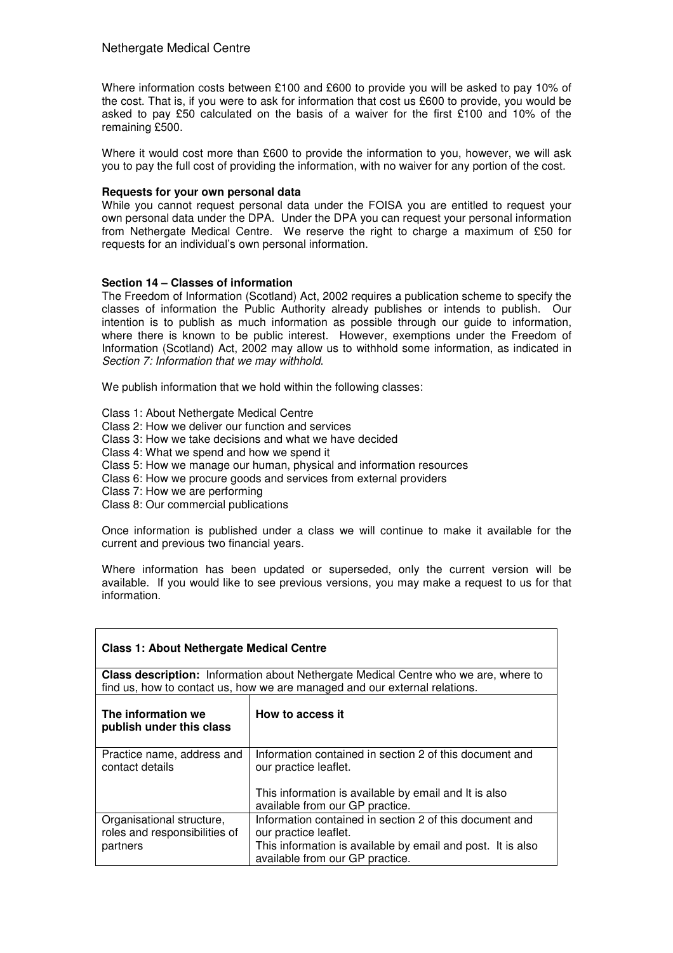Where information costs between £100 and £600 to provide you will be asked to pay 10% of the cost. That is, if you were to ask for information that cost us £600 to provide, you would be asked to pay £50 calculated on the basis of a waiver for the first £100 and 10% of the remaining £500.

Where it would cost more than £600 to provide the information to you, however, we will ask you to pay the full cost of providing the information, with no waiver for any portion of the cost.

#### **Requests for your own personal data**

While you cannot request personal data under the FOISA you are entitled to request your own personal data under the DPA. Under the DPA you can request your personal information from Nethergate Medical Centre. We reserve the right to charge a maximum of £50 for requests for an individual's own personal information.

# **Section 14 – Classes of information**

The Freedom of Information (Scotland) Act, 2002 requires a publication scheme to specify the classes of information the Public Authority already publishes or intends to publish. Our intention is to publish as much information as possible through our guide to information, where there is known to be public interest. However, exemptions under the Freedom of Information (Scotland) Act, 2002 may allow us to withhold some information, as indicated in Section 7: Information that we may withhold.

We publish information that we hold within the following classes:

Class 1: About Nethergate Medical Centre

- Class 2: How we deliver our function and services
- Class 3: How we take decisions and what we have decided
- Class 4: What we spend and how we spend it
- Class 5: How we manage our human, physical and information resources
- Class 6: How we procure goods and services from external providers
- Class 7: How we are performing
- Class 8: Our commercial publications

Once information is published under a class we will continue to make it available for the current and previous two financial years.

Where information has been updated or superseded, only the current version will be available. If you would like to see previous versions, you may make a request to us for that information.

| <b>Class 1: About Nethergate Medical Centre</b>                                                                                                                          |                                                                                                                                                 |  |  |  |
|--------------------------------------------------------------------------------------------------------------------------------------------------------------------------|-------------------------------------------------------------------------------------------------------------------------------------------------|--|--|--|
| <b>Class description:</b> Information about Nethergate Medical Centre who we are, where to<br>find us, how to contact us, how we are managed and our external relations. |                                                                                                                                                 |  |  |  |
|                                                                                                                                                                          |                                                                                                                                                 |  |  |  |
| The information we<br>publish under this class                                                                                                                           | How to access it                                                                                                                                |  |  |  |
| Practice name, address and<br>contact details                                                                                                                            | Information contained in section 2 of this document and<br>our practice leaflet.                                                                |  |  |  |
|                                                                                                                                                                          | This information is available by email and It is also<br>available from our GP practice.                                                        |  |  |  |
| Organisational structure,<br>roles and responsibilities of<br>partners                                                                                                   | Information contained in section 2 of this document and<br>our practice leaflet.<br>This information is available by email and post. It is also |  |  |  |
|                                                                                                                                                                          | available from our GP practice.                                                                                                                 |  |  |  |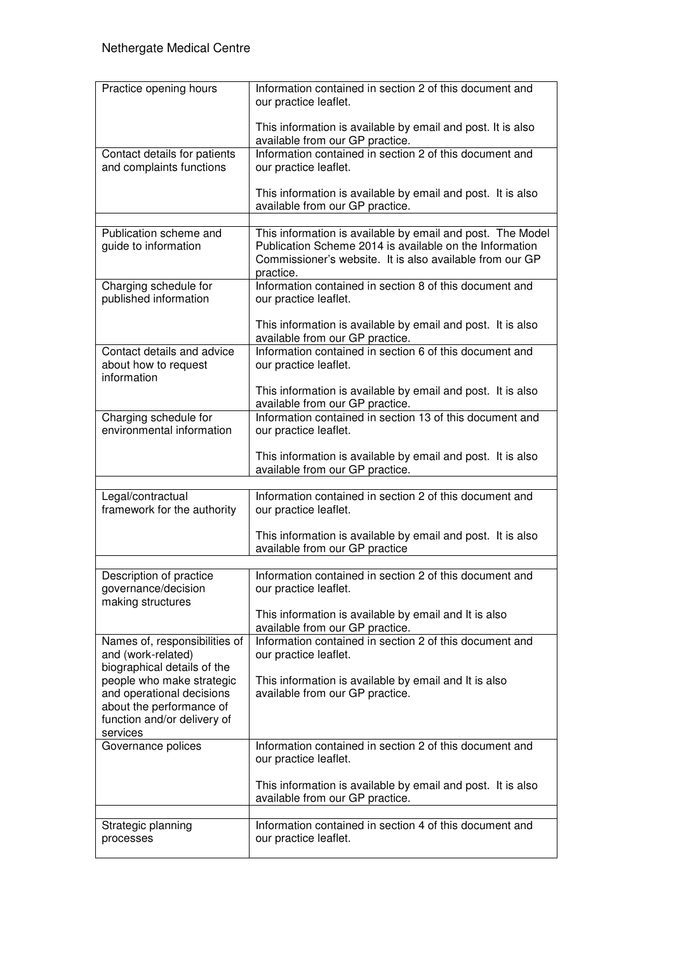| Practice opening hours                                                             | Information contained in section 2 of this document and<br>our practice leaflet.                                                                                                               |
|------------------------------------------------------------------------------------|------------------------------------------------------------------------------------------------------------------------------------------------------------------------------------------------|
|                                                                                    | This information is available by email and post. It is also<br>available from our GP practice.                                                                                                 |
| Contact details for patients<br>and complaints functions                           | Information contained in section 2 of this document and<br>our practice leaflet.                                                                                                               |
|                                                                                    | This information is available by email and post. It is also<br>available from our GP practice.                                                                                                 |
| Publication scheme and<br>guide to information                                     | This information is available by email and post. The Model<br>Publication Scheme 2014 is available on the Information<br>Commissioner's website. It is also available from our GP<br>practice. |
| Charging schedule for<br>published information                                     | Information contained in section 8 of this document and<br>our practice leaflet.                                                                                                               |
|                                                                                    | This information is available by email and post. It is also<br>available from our GP practice.                                                                                                 |
| Contact details and advice<br>about how to request<br>information                  | Information contained in section 6 of this document and<br>our practice leaflet.                                                                                                               |
|                                                                                    | This information is available by email and post. It is also<br>available from our GP practice.                                                                                                 |
| Charging schedule for<br>environmental information                                 | Information contained in section 13 of this document and<br>our practice leaflet.                                                                                                              |
|                                                                                    | This information is available by email and post. It is also<br>available from our GP practice.                                                                                                 |
| Legal/contractual<br>framework for the authority                                   | Information contained in section 2 of this document and<br>our practice leaflet.                                                                                                               |
|                                                                                    | This information is available by email and post. It is also<br>available from our GP practice                                                                                                  |
|                                                                                    | Information contained in section 2 of this document and                                                                                                                                        |
| Description of practice<br>governance/decision<br>making structures                | our practice leaflet.                                                                                                                                                                          |
|                                                                                    | This information is available by email and It is also<br>available from our GP practice.                                                                                                       |
| Names of, responsibilities of<br>and (work-related)<br>biographical details of the | Information contained in section 2 of this document and<br>our practice leaflet.                                                                                                               |
| people who make strategic<br>and operational decisions                             | This information is available by email and It is also<br>available from our GP practice.                                                                                                       |
| about the performance of<br>function and/or delivery of                            |                                                                                                                                                                                                |
| services                                                                           |                                                                                                                                                                                                |
| Governance polices                                                                 | Information contained in section 2 of this document and<br>our practice leaflet.                                                                                                               |
|                                                                                    | This information is available by email and post. It is also<br>available from our GP practice.                                                                                                 |
| Strategic planning                                                                 | Information contained in section 4 of this document and                                                                                                                                        |
| processes                                                                          | our practice leaflet.                                                                                                                                                                          |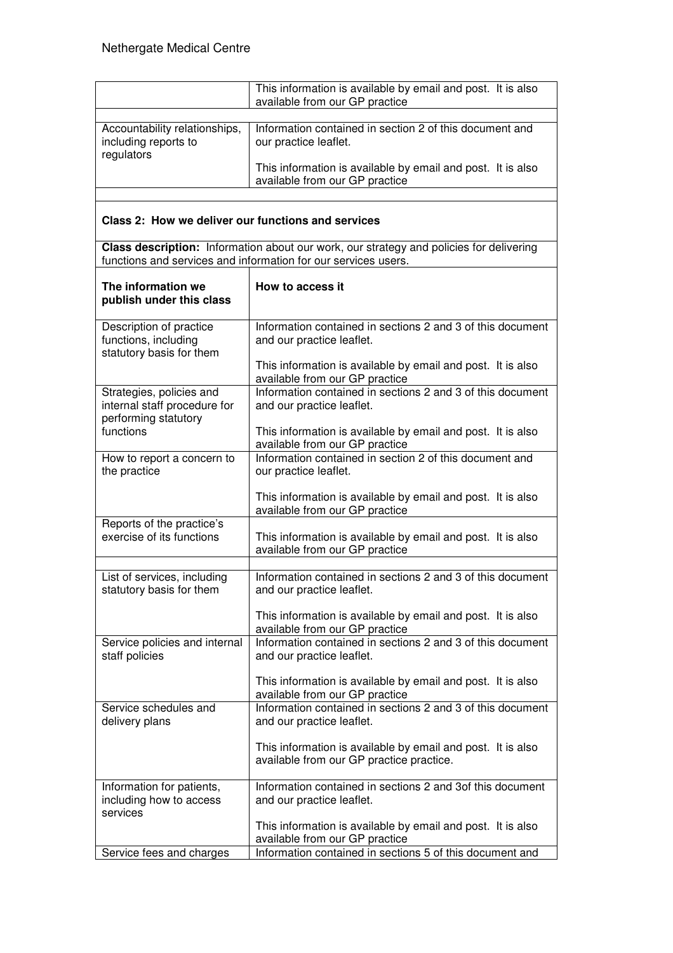|                                                                                  | This information is available by email and post. It is also<br>available from our GP practice                                                             |  |  |  |
|----------------------------------------------------------------------------------|-----------------------------------------------------------------------------------------------------------------------------------------------------------|--|--|--|
|                                                                                  |                                                                                                                                                           |  |  |  |
| Accountability relationships,<br>including reports to<br>regulators              | Information contained in section 2 of this document and<br>our practice leaflet.                                                                          |  |  |  |
|                                                                                  | This information is available by email and post. It is also<br>available from our GP practice                                                             |  |  |  |
|                                                                                  |                                                                                                                                                           |  |  |  |
| Class 2: How we deliver our functions and services                               |                                                                                                                                                           |  |  |  |
|                                                                                  | Class description: Information about our work, our strategy and policies for delivering<br>functions and services and information for our services users. |  |  |  |
| The information we<br>publish under this class                                   | How to access it                                                                                                                                          |  |  |  |
| Description of practice<br>functions, including<br>statutory basis for them      | Information contained in sections 2 and 3 of this document<br>and our practice leaflet.                                                                   |  |  |  |
|                                                                                  | This information is available by email and post. It is also<br>available from our GP practice                                                             |  |  |  |
| Strategies, policies and<br>internal staff procedure for<br>performing statutory | Information contained in sections 2 and 3 of this document<br>and our practice leaflet.                                                                   |  |  |  |
| functions                                                                        | This information is available by email and post. It is also<br>available from our GP practice                                                             |  |  |  |
| How to report a concern to<br>the practice                                       | Information contained in section 2 of this document and<br>our practice leaflet.                                                                          |  |  |  |
|                                                                                  | This information is available by email and post. It is also<br>available from our GP practice                                                             |  |  |  |
| Reports of the practice's<br>exercise of its functions                           | This information is available by email and post. It is also<br>available from our GP practice                                                             |  |  |  |
|                                                                                  |                                                                                                                                                           |  |  |  |
| List of services, including<br>statutory basis for them                          | Information contained in sections 2 and 3 of this document<br>and our practice leaflet.                                                                   |  |  |  |
|                                                                                  | This information is available by email and post. It is also<br>available from our GP practice                                                             |  |  |  |
| Service policies and internal<br>staff policies                                  | Information contained in sections 2 and 3 of this document<br>and our practice leaflet.                                                                   |  |  |  |
|                                                                                  | This information is available by email and post. It is also<br>available from our GP practice                                                             |  |  |  |
| Service schedules and<br>delivery plans                                          | Information contained in sections 2 and 3 of this document<br>and our practice leaflet.                                                                   |  |  |  |
|                                                                                  | This information is available by email and post. It is also<br>available from our GP practice practice.                                                   |  |  |  |
| Information for patients,<br>including how to access<br>services                 | Information contained in sections 2 and 3of this document<br>and our practice leaflet.                                                                    |  |  |  |
|                                                                                  | This information is available by email and post. It is also<br>available from our GP practice                                                             |  |  |  |
| Service fees and charges                                                         | Information contained in sections 5 of this document and                                                                                                  |  |  |  |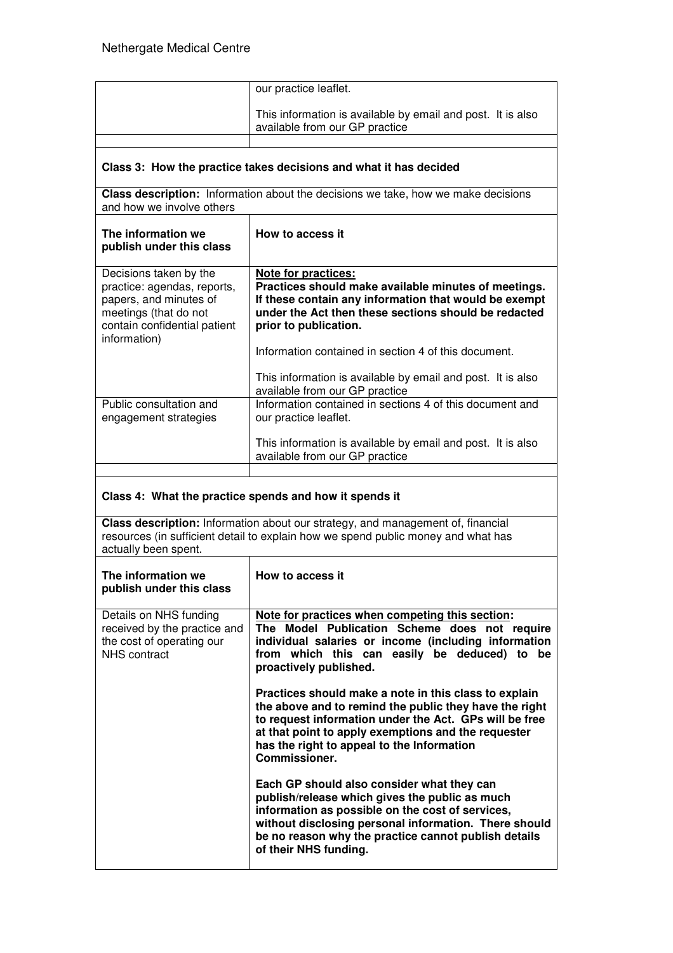|                                                                                                                                                                                              | our practice leaflet.                                                                                                                                                                                                                                                                                  |  |  |
|----------------------------------------------------------------------------------------------------------------------------------------------------------------------------------------------|--------------------------------------------------------------------------------------------------------------------------------------------------------------------------------------------------------------------------------------------------------------------------------------------------------|--|--|
|                                                                                                                                                                                              | This information is available by email and post. It is also<br>available from our GP practice                                                                                                                                                                                                          |  |  |
|                                                                                                                                                                                              |                                                                                                                                                                                                                                                                                                        |  |  |
| Class 3: How the practice takes decisions and what it has decided                                                                                                                            |                                                                                                                                                                                                                                                                                                        |  |  |
| Class description: Information about the decisions we take, how we make decisions<br>and how we involve others                                                                               |                                                                                                                                                                                                                                                                                                        |  |  |
| The information we<br>publish under this class                                                                                                                                               | How to access it                                                                                                                                                                                                                                                                                       |  |  |
| Decisions taken by the<br>practice: agendas, reports,<br>papers, and minutes of<br>meetings (that do not<br>contain confidential patient<br>information)                                     | Note for practices:<br>Practices should make available minutes of meetings.<br>If these contain any information that would be exempt<br>under the Act then these sections should be redacted<br>prior to publication.                                                                                  |  |  |
|                                                                                                                                                                                              | Information contained in section 4 of this document.<br>This information is available by email and post. It is also                                                                                                                                                                                    |  |  |
| Public consultation and<br>engagement strategies                                                                                                                                             | available from our GP practice<br>Information contained in sections 4 of this document and<br>our practice leaflet.                                                                                                                                                                                    |  |  |
|                                                                                                                                                                                              | This information is available by email and post. It is also<br>available from our GP practice                                                                                                                                                                                                          |  |  |
|                                                                                                                                                                                              |                                                                                                                                                                                                                                                                                                        |  |  |
|                                                                                                                                                                                              | Class 4: What the practice spends and how it spends it                                                                                                                                                                                                                                                 |  |  |
| Class description: Information about our strategy, and management of, financial<br>resources (in sufficient detail to explain how we spend public money and what has<br>actually been spent. |                                                                                                                                                                                                                                                                                                        |  |  |
| The information we<br>publish under this class                                                                                                                                               | How to access it                                                                                                                                                                                                                                                                                       |  |  |
| Details on NHS funding<br>received by the practice and<br>the cost of operating our<br><b>NHS</b> contract                                                                                   | Note for practices when competing this section:<br>The Model Publication Scheme does not require<br>individual salaries or income (including information<br>from which this can easily be deduced) to be<br>proactively published.                                                                     |  |  |
|                                                                                                                                                                                              | Practices should make a note in this class to explain<br>the above and to remind the public they have the right<br>to request information under the Act. GPs will be free<br>at that point to apply exemptions and the requester<br>has the right to appeal to the Information<br><b>Commissioner.</b> |  |  |
|                                                                                                                                                                                              | Each GP should also consider what they can<br>publish/release which gives the public as much                                                                                                                                                                                                           |  |  |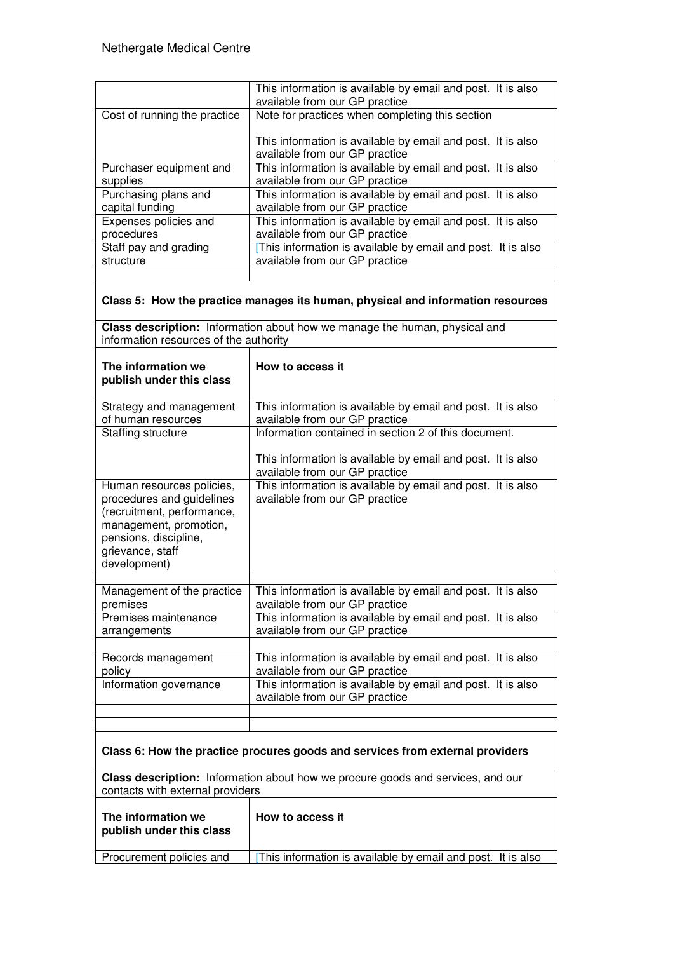|                                                                                                                                                                             | This information is available by email and post. It is also<br>available from our GP practice                       |  |  |  |  |
|-----------------------------------------------------------------------------------------------------------------------------------------------------------------------------|---------------------------------------------------------------------------------------------------------------------|--|--|--|--|
| Cost of running the practice                                                                                                                                                | Note for practices when completing this section                                                                     |  |  |  |  |
|                                                                                                                                                                             | This information is available by email and post. It is also<br>available from our GP practice                       |  |  |  |  |
| Purchaser equipment and<br>supplies                                                                                                                                         | This information is available by email and post. It is also<br>available from our GP practice                       |  |  |  |  |
| Purchasing plans and<br>capital funding                                                                                                                                     | This information is available by email and post. It is also<br>available from our GP practice                       |  |  |  |  |
| Expenses policies and<br>procedures                                                                                                                                         | This information is available by email and post. It is also<br>available from our GP practice                       |  |  |  |  |
| Staff pay and grading<br>structure                                                                                                                                          | [This information is available by email and post. It is also<br>available from our GP practice                      |  |  |  |  |
|                                                                                                                                                                             |                                                                                                                     |  |  |  |  |
|                                                                                                                                                                             | Class 5: How the practice manages its human, physical and information resources                                     |  |  |  |  |
| information resources of the authority                                                                                                                                      | Class description: Information about how we manage the human, physical and                                          |  |  |  |  |
| The information we<br>publish under this class                                                                                                                              | How to access it                                                                                                    |  |  |  |  |
| Strategy and management<br>of human resources                                                                                                                               | This information is available by email and post. It is also<br>available from our GP practice                       |  |  |  |  |
| Staffing structure                                                                                                                                                          | Information contained in section 2 of this document.                                                                |  |  |  |  |
|                                                                                                                                                                             | This information is available by email and post. It is also<br>available from our GP practice                       |  |  |  |  |
| Human resources policies,<br>procedures and guidelines<br>(recruitment, performance,<br>management, promotion,<br>pensions, discipline,<br>grievance, staff<br>development) | This information is available by email and post. It is also<br>available from our GP practice                       |  |  |  |  |
| Management of the practice<br>premises                                                                                                                                      | This information is available by email and post. It is also<br>available from our GP practice                       |  |  |  |  |
| Premises maintenance<br>arrangements                                                                                                                                        | This information is available by email and post. It is also<br>available from our GP practice                       |  |  |  |  |
| Records management<br>policy                                                                                                                                                | This information is available by email and post. It is also<br>available from our GP practice                       |  |  |  |  |
| Information governance                                                                                                                                                      | This information is available by email and post. It is also<br>available from our GP practice                       |  |  |  |  |
|                                                                                                                                                                             |                                                                                                                     |  |  |  |  |
| Class 6: How the practice procures goods and services from external providers                                                                                               |                                                                                                                     |  |  |  |  |
|                                                                                                                                                                             | Class description: Information about how we procure goods and services, and our<br>contacts with external providers |  |  |  |  |
| The information we<br>publish under this class                                                                                                                              | How to access it                                                                                                    |  |  |  |  |
| Procurement policies and                                                                                                                                                    | This information is available by email and post. It is also                                                         |  |  |  |  |